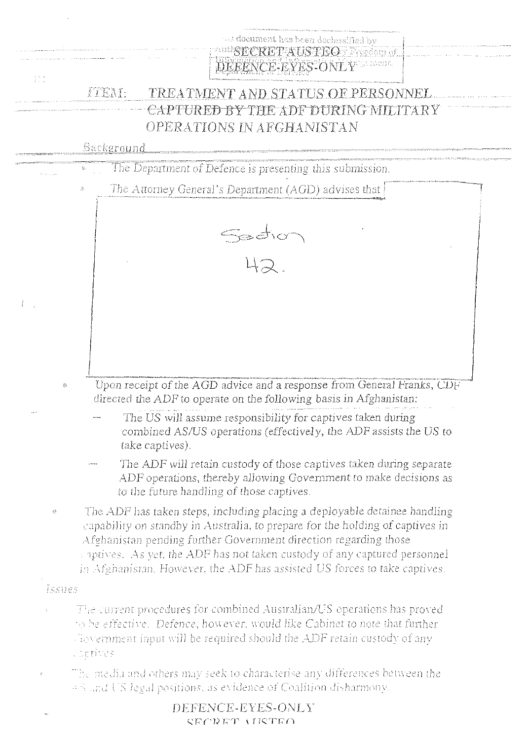

|               | DEFENCE-EYES-ONLY |  |
|---------------|-------------------|--|
| CEODET AIRTEO |                   |  |